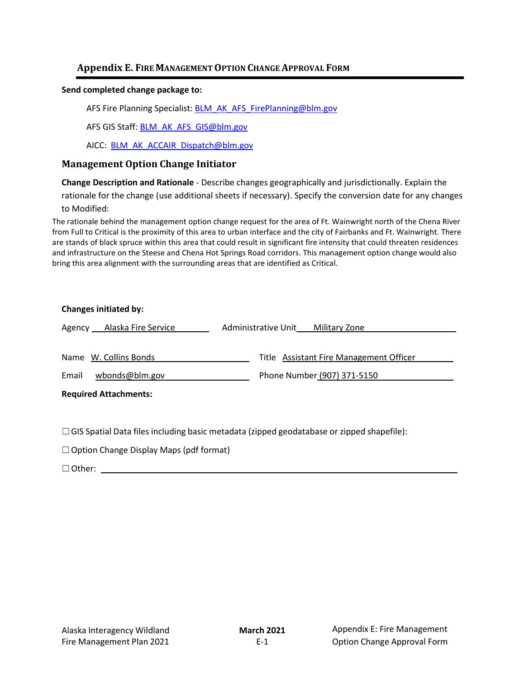### **Appendix E. FIRE MANAGEMENTOPTION CHANGE APPROVAL FORM**

#### **Send completed change package to:**

AFS Fire Planning Specialist: [BLM\\_AK\\_AFS\\_FirePlanning@blm.gov](mailto:BLM_AK_AFS_FirePlanning@blm.gov)

AFS GIS Staff: [BLM\\_AK\\_AFS\\_GIS@blm.gov](mailto:BLM_AK_AFS_GIS@blm.gov)

AICC: **[BLM\\_AK\\_ACCAIR\\_Dispatch@blm.gov](mailto:BLM_AK_ACCAIR_Dispatch@blm.gov)** 

### **Management Option Change Initiator**

**Change Description and Rationale** - Describe changes geographically and jurisdictionally. Explain the rationale for the change (use additional sheets if necessary). Specify the conversion date for any changes to Modified:

The rationale behind the management option change request for the area of Ft. Wainwright north of the Chena River from Full to Critical is the proximity of this area to urban interface and the city of Fairbanks and Ft. Wainwright. There are stands of black spruce within this area that could result in significant fire intensity that could threaten residences and infrastructure on the Steese and Chena Hot Springs Road corridors. This management option change would also bring this area alignment with the surrounding areas that are identified as Critical.

| <b>Changes initiated by:</b>  |                                         |  |
|-------------------------------|-----------------------------------------|--|
| Alaska Fire Service<br>Agency | Administrative Unit<br>Military Zone    |  |
|                               |                                         |  |
| Name W. Collins Bonds         | Title Assistant Fire Management Officer |  |
| wbonds@blm.gov<br>Email       | Phone Number (907) 371-5150             |  |
| <b>Required Attachments:</b>  |                                         |  |

 $\Box$ GIS Spatial Data files including basic metadata (zipped geodatabase or zipped shapefile):

| □ Option Change Display Maps (pdf format) |  |  |
|-------------------------------------------|--|--|
|-------------------------------------------|--|--|

☐Other: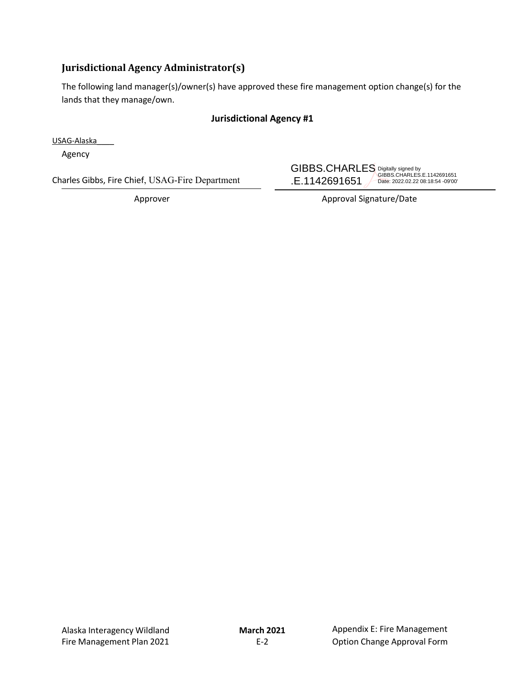# **Jurisdictional Agency Administrator(s)**

The following land manager(s)/owner(s) have approved these fire management option change(s) for the lands that they manage/own.

### **Jurisdictional Agency #1**

USAG-Alaska\_\_\_\_

Agency

Charles Gibbs, Fire Chief, USAG-Fire Department

GIBBS.CHARLES Digitally signed by<br>
E.1142691651 Pate: 2022.02.22 08:18:54 -09'00' .E.1142691651

Approver Approval Signature/Date